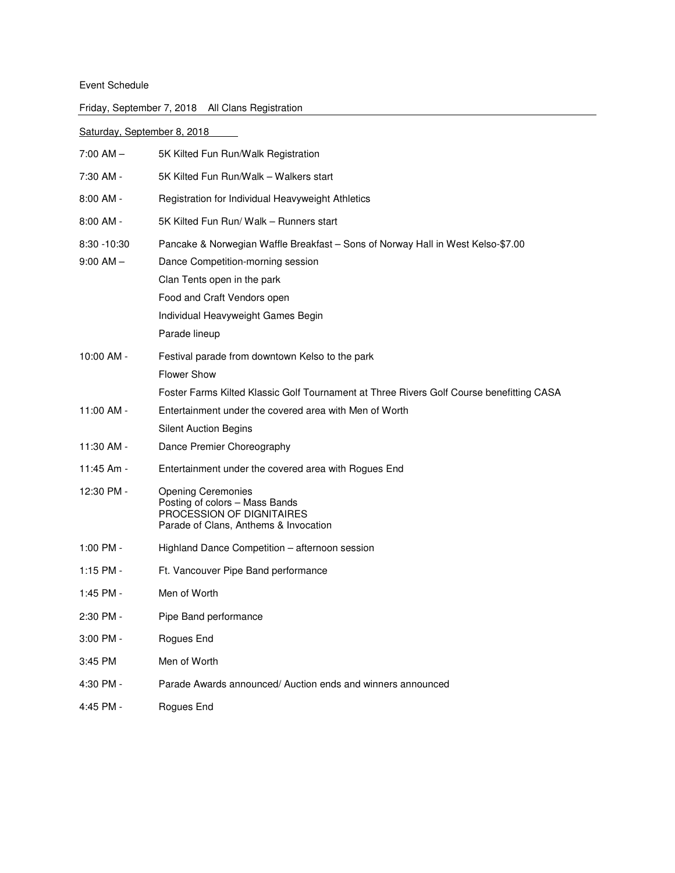## Event Schedule

| Saturday, September 8, 2018     |                                                                                                                                                                                                                                           |
|---------------------------------|-------------------------------------------------------------------------------------------------------------------------------------------------------------------------------------------------------------------------------------------|
| $7:00$ AM $-$                   | 5K Kilted Fun Run/Walk Registration                                                                                                                                                                                                       |
| 7:30 AM -                       | 5K Kilted Fun Run/Walk - Walkers start                                                                                                                                                                                                    |
| $8:00$ AM -                     | Registration for Individual Heavyweight Athletics                                                                                                                                                                                         |
| $8:00$ AM -                     | 5K Kilted Fun Run/ Walk - Runners start                                                                                                                                                                                                   |
| $8:30 - 10:30$<br>$9:00$ AM $-$ | Pancake & Norwegian Waffle Breakfast - Sons of Norway Hall in West Kelso-\$7.00<br>Dance Competition-morning session<br>Clan Tents open in the park<br>Food and Craft Vendors open<br>Individual Heavyweight Games Begin<br>Parade lineup |
| 10:00 AM -                      | Festival parade from downtown Kelso to the park<br><b>Flower Show</b><br>Foster Farms Kilted Klassic Golf Tournament at Three Rivers Golf Course benefitting CASA                                                                         |
| 11:00 AM -                      | Entertainment under the covered area with Men of Worth                                                                                                                                                                                    |
|                                 | <b>Silent Auction Begins</b>                                                                                                                                                                                                              |
| 11:30 AM -                      | Dance Premier Choreography                                                                                                                                                                                                                |
| 11:45 Am -                      | Entertainment under the covered area with Rogues End                                                                                                                                                                                      |
| 12:30 PM -                      | <b>Opening Ceremonies</b><br>Posting of colors - Mass Bands<br>PROCESSION OF DIGNITAIRES<br>Parade of Clans, Anthems & Invocation                                                                                                         |
| 1:00 PM -                       | Highland Dance Competition – afternoon session                                                                                                                                                                                            |
| 1:15 PM -                       | Ft. Vancouver Pipe Band performance                                                                                                                                                                                                       |
| 1:45 PM -                       | Men of Worth                                                                                                                                                                                                                              |
| 2:30 PM                         | Pipe Band performance                                                                                                                                                                                                                     |
| 3:00 PM -                       | Rogues End                                                                                                                                                                                                                                |
| 3:45 PM                         | Men of Worth                                                                                                                                                                                                                              |
| 4:30 PM -                       | Parade Awards announced/Auction ends and winners announced                                                                                                                                                                                |
| 4:45 PM -                       | Rogues End                                                                                                                                                                                                                                |